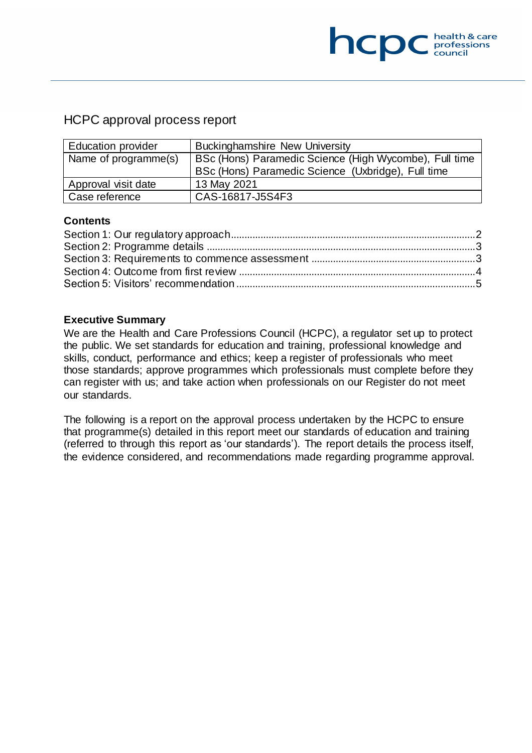# HCPC approval process report

| <b>Education provider</b> | <b>Buckinghamshire New University</b>                  |  |
|---------------------------|--------------------------------------------------------|--|
| Name of programme(s)      | BSc (Hons) Paramedic Science (High Wycombe), Full time |  |
|                           | BSc (Hons) Paramedic Science (Uxbridge), Full time     |  |
| Approval visit date       | 13 May 2021                                            |  |
| Case reference            | CAS-16817-J5S4F3                                       |  |

### **Contents**

### **Executive Summary**

We are the Health and Care Professions Council (HCPC), a regulator set up to protect the public. We set standards for education and training, professional knowledge and skills, conduct, performance and ethics; keep a register of professionals who meet those standards; approve programmes which professionals must complete before they can register with us; and take action when professionals on our Register do not meet our standards.

The following is a report on the approval process undertaken by the HCPC to ensure that programme(s) detailed in this report meet our standards of education and training (referred to through this report as 'our standards'). The report details the process itself, the evidence considered, and recommendations made regarding programme approval.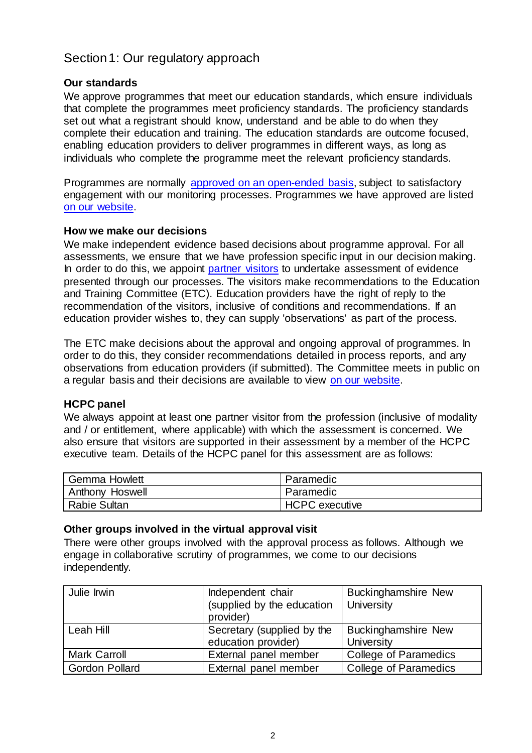# <span id="page-1-0"></span>Section 1: Our regulatory approach

### **Our standards**

We approve programmes that meet our education standards, which ensure individuals that complete the programmes meet proficiency standards. The proficiency standards set out what a registrant should know, understand and be able to do when they complete their education and training. The education standards are outcome focused, enabling education providers to deliver programmes in different ways, as long as individuals who complete the programme meet the relevant proficiency standards.

Programmes are normally [approved on an open-ended basis,](http://www.hcpc-uk.org/education/processes/) subject to satisfactory engagement with our monitoring processes. Programmes we have approved are listed [on our website.](http://www.hcpc-uk.org/education/programmes/register/)

### **How we make our decisions**

We make independent evidence based decisions about programme approval. For all assessments, we ensure that we have profession specific input in our decision making. In order to do this, we appoint [partner visitors](http://www.hcpc-uk.org/aboutus/partners/) to undertake assessment of evidence presented through our processes. The visitors make recommendations to the Education and Training Committee (ETC). Education providers have the right of reply to the recommendation of the visitors, inclusive of conditions and recommendations. If an education provider wishes to, they can supply 'observations' as part of the process.

The ETC make decisions about the approval and ongoing approval of programmes. In order to do this, they consider recommendations detailed in process reports, and any observations from education providers (if submitted). The Committee meets in public on a regular basis and their decisions are available to view [on our website.](http://www.hcpc-uk.org/aboutus/committees/educationandtrainingpanel/)

### **HCPC panel**

We always appoint at least one partner visitor from the profession (inclusive of modality and / or entitlement, where applicable) with which the assessment is concerned. We also ensure that visitors are supported in their assessment by a member of the HCPC executive team. Details of the HCPC panel for this assessment are as follows:

| <b>Gemma Howlett</b> | Paramedic             |
|----------------------|-----------------------|
| Anthony Hoswell      | Paramedic             |
| <b>Rabie Sultan</b>  | <b>HCPC</b> executive |

### **Other groups involved in the virtual approval visit**

There were other groups involved with the approval process as follows. Although we engage in collaborative scrutiny of programmes, we come to our decisions independently.

| Julie Irwin           | Independent chair<br>(supplied by the education<br>provider) | <b>Buckinghamshire New</b><br>University |
|-----------------------|--------------------------------------------------------------|------------------------------------------|
| Leah Hill             | Secretary (supplied by the<br>education provider)            | <b>Buckinghamshire New</b><br>University |
| <b>Mark Carroll</b>   | External panel member                                        | <b>College of Paramedics</b>             |
| <b>Gordon Pollard</b> | External panel member                                        | College of Paramedics                    |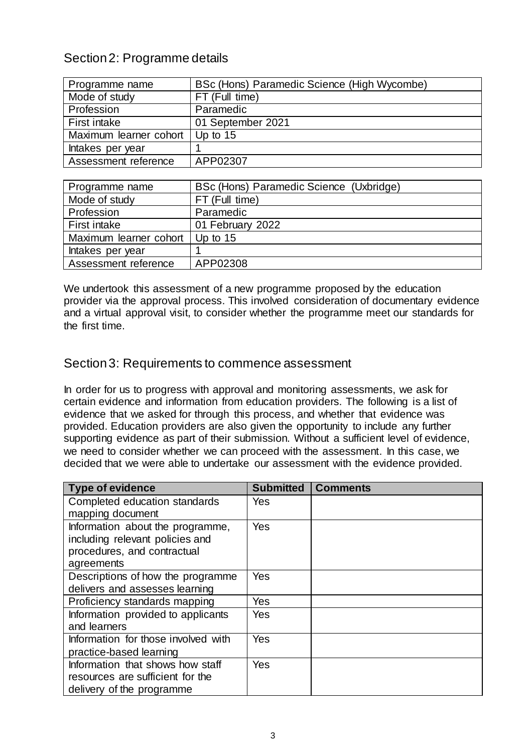# <span id="page-2-0"></span>Section 2: Programme details

| Programme name                    | BSc (Hons) Paramedic Science (High Wycombe) |
|-----------------------------------|---------------------------------------------|
| Mode of study                     | FT (Full time)                              |
| Profession                        | Paramedic                                   |
| First intake                      | 01 September 2021                           |
| Maximum learner cohort   Up to 15 |                                             |
| Intakes per year                  |                                             |
| Assessment reference              | APP02307                                    |

| Programme name         | BSc (Hons) Paramedic Science (Uxbridge) |
|------------------------|-----------------------------------------|
| Mode of study          | FT (Full time)                          |
| Profession             | Paramedic                               |
| First intake           | 01 February 2022                        |
| Maximum learner cohort | Up to $15$                              |
| Intakes per year       |                                         |
| Assessment reference   | APP02308                                |

We undertook this assessment of a new programme proposed by the education provider via the approval process. This involved consideration of documentary evidence and a virtual approval visit, to consider whether the programme meet our standards for the first time.

### <span id="page-2-1"></span>Section 3: Requirements to commence assessment

In order for us to progress with approval and monitoring assessments, we ask for certain evidence and information from education providers. The following is a list of evidence that we asked for through this process, and whether that evidence was provided. Education providers are also given the opportunity to include any further supporting evidence as part of their submission. Without a sufficient level of evidence, we need to consider whether we can proceed with the assessment. In this case, we decided that we were able to undertake our assessment with the evidence provided.

| <b>Type of evidence</b>             | <b>Submitted</b> | <b>Comments</b> |
|-------------------------------------|------------------|-----------------|
| Completed education standards       | Yes              |                 |
| mapping document                    |                  |                 |
| Information about the programme,    | Yes              |                 |
| including relevant policies and     |                  |                 |
| procedures, and contractual         |                  |                 |
| agreements                          |                  |                 |
| Descriptions of how the programme   | Yes              |                 |
| delivers and assesses learning      |                  |                 |
| Proficiency standards mapping       | Yes              |                 |
| Information provided to applicants  | Yes              |                 |
| and learners                        |                  |                 |
| Information for those involved with | Yes              |                 |
| practice-based learning             |                  |                 |
| Information that shows how staff    | <b>Yes</b>       |                 |
| resources are sufficient for the    |                  |                 |
| delivery of the programme           |                  |                 |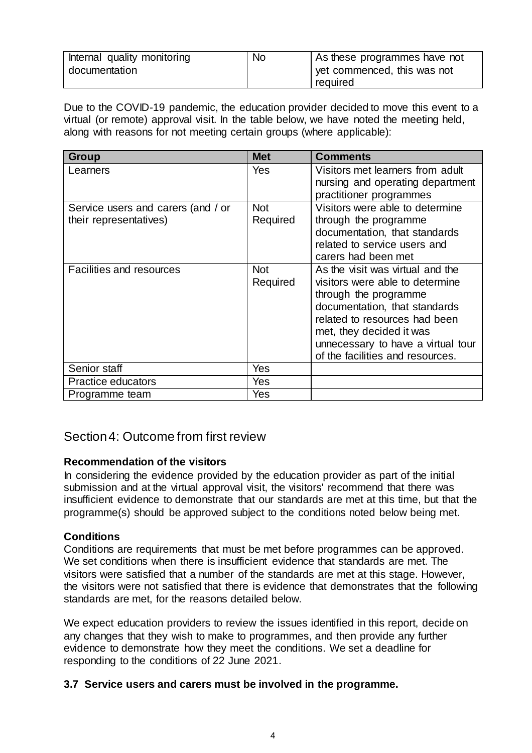| Internal quality monitoring | <b>No</b> | As these programmes have not            |
|-----------------------------|-----------|-----------------------------------------|
| documentation               |           | yet commenced, this was not<br>required |
|                             |           |                                         |

Due to the COVID-19 pandemic, the education provider decided to move this event to a virtual (or remote) approval visit. In the table below, we have noted the meeting held, along with reasons for not meeting certain groups (where applicable):

| <b>Group</b>                                                 | <b>Met</b>             | <b>Comments</b>                                                                                                                                                                                                                                                      |
|--------------------------------------------------------------|------------------------|----------------------------------------------------------------------------------------------------------------------------------------------------------------------------------------------------------------------------------------------------------------------|
| Learners                                                     | Yes                    | Visitors met learners from adult<br>nursing and operating department                                                                                                                                                                                                 |
|                                                              |                        | practitioner programmes                                                                                                                                                                                                                                              |
| Service users and carers (and / or<br>their representatives) | <b>Not</b><br>Required | Visitors were able to determine<br>through the programme<br>documentation, that standards<br>related to service users and                                                                                                                                            |
|                                                              |                        | carers had been met                                                                                                                                                                                                                                                  |
| <b>Facilities and resources</b>                              | <b>Not</b><br>Required | As the visit was virtual and the<br>visitors were able to determine<br>through the programme<br>documentation, that standards<br>related to resources had been<br>met, they decided it was<br>unnecessary to have a virtual tour<br>of the facilities and resources. |
| Senior staff                                                 | Yes                    |                                                                                                                                                                                                                                                                      |
| Practice educators                                           | Yes                    |                                                                                                                                                                                                                                                                      |
| Programme team                                               | Yes                    |                                                                                                                                                                                                                                                                      |

# <span id="page-3-0"></span>Section 4: Outcome from first review

### **Recommendation of the visitors**

In considering the evidence provided by the education provider as part of the initial submission and at the virtual approval visit, the visitors' recommend that there was insufficient evidence to demonstrate that our standards are met at this time, but that the programme(s) should be approved subject to the conditions noted below being met.

### **Conditions**

Conditions are requirements that must be met before programmes can be approved. We set conditions when there is insufficient evidence that standards are met. The visitors were satisfied that a number of the standards are met at this stage. However, the visitors were not satisfied that there is evidence that demonstrates that the following standards are met, for the reasons detailed below.

We expect education providers to review the issues identified in this report, decide on any changes that they wish to make to programmes, and then provide any further evidence to demonstrate how they meet the conditions. We set a deadline for responding to the conditions of 22 June 2021.

### **3.7 Service users and carers must be involved in the programme.**